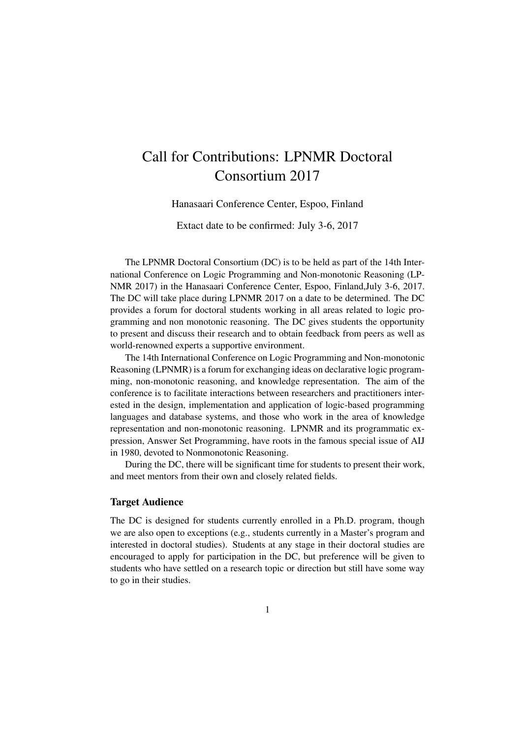# Call for Contributions: LPNMR Doctoral Consortium 2017

Hanasaari Conference Center, Espoo, Finland

Extact date to be confirmed: July 3-6, 2017

The LPNMR Doctoral Consortium (DC) is to be held as part of the 14th International Conference on Logic Programming and Non-monotonic Reasoning (LP-NMR 2017) in the Hanasaari Conference Center, Espoo, Finland,July 3-6, 2017. The DC will take place during LPNMR 2017 on a date to be determined. The DC provides a forum for doctoral students working in all areas related to logic programming and non monotonic reasoning. The DC gives students the opportunity to present and discuss their research and to obtain feedback from peers as well as world-renowned experts a supportive environment.

The 14th International Conference on Logic Programming and Non-monotonic Reasoning (LPNMR) is a forum for exchanging ideas on declarative logic programming, non-monotonic reasoning, and knowledge representation. The aim of the conference is to facilitate interactions between researchers and practitioners interested in the design, implementation and application of logic-based programming languages and database systems, and those who work in the area of knowledge representation and non-monotonic reasoning. LPNMR and its programmatic expression, Answer Set Programming, have roots in the famous special issue of AIJ in 1980, devoted to Nonmonotonic Reasoning.

During the DC, there will be significant time for students to present their work, and meet mentors from their own and closely related fields.

### Target Audience

The DC is designed for students currently enrolled in a Ph.D. program, though we are also open to exceptions (e.g., students currently in a Master's program and interested in doctoral studies). Students at any stage in their doctoral studies are encouraged to apply for participation in the DC, but preference will be given to students who have settled on a research topic or direction but still have some way to go in their studies.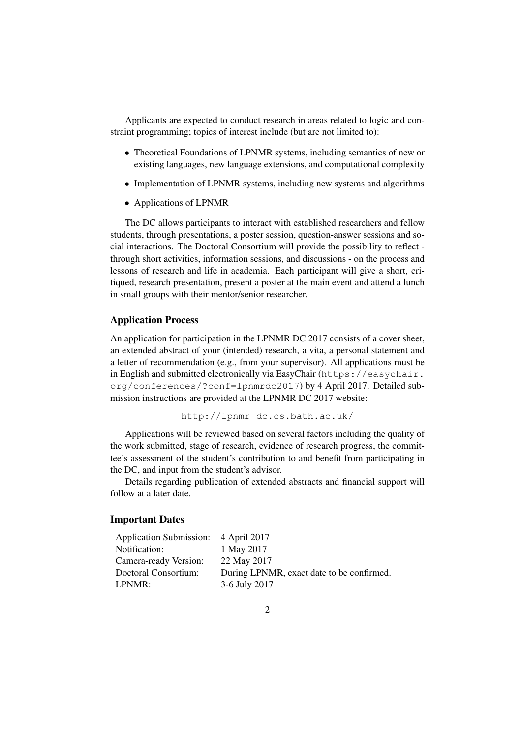Applicants are expected to conduct research in areas related to logic and constraint programming; topics of interest include (but are not limited to):

- Theoretical Foundations of LPNMR systems, including semantics of new or existing languages, new language extensions, and computational complexity
- Implementation of LPNMR systems, including new systems and algorithms
- Applications of LPNMR

The DC allows participants to interact with established researchers and fellow students, through presentations, a poster session, question-answer sessions and social interactions. The Doctoral Consortium will provide the possibility to reflect through short activities, information sessions, and discussions - on the process and lessons of research and life in academia. Each participant will give a short, critiqued, research presentation, present a poster at the main event and attend a lunch in small groups with their mentor/senior researcher.

### Application Process

An application for participation in the LPNMR DC 2017 consists of a cover sheet, an extended abstract of your (intended) research, a vita, a personal statement and a letter of recommendation (e.g., from your supervisor). All applications must be in English and submitted electronically via EasyChair (https://easychair. org/conferences/?conf=lpnmrdc2017) by 4 April 2017. Detailed submission instructions are provided at the LPNMR DC 2017 website:

```
http://lpnmr-dc.cs.bath.ac.uk/
```
Applications will be reviewed based on several factors including the quality of the work submitted, stage of research, evidence of research progress, the committee's assessment of the student's contribution to and benefit from participating in the DC, and input from the student's advisor.

Details regarding publication of extended abstracts and financial support will follow at a later date.

#### Important Dates

| Application Submission: 4 April 2017 |                                           |
|--------------------------------------|-------------------------------------------|
| Notification:                        | 1 May 2017                                |
| Camera-ready Version:                | 22 May 2017                               |
| Doctoral Consortium:                 | During LPNMR, exact date to be confirmed. |
| LPNMR:                               | 3-6 July 2017                             |